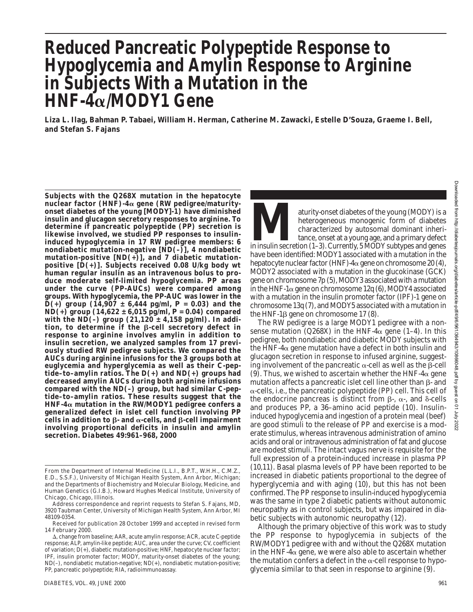# **Reduced Pancreatic Polypeptide Response to Hypoglycemia and Amylin Response to Arginine in Subjects With a Mutation in the HNF-4**a**/MODY1 Gene**

**Liza L. Ilag, Bahman P. Tabaei, William H. Herman, Catherine M. Zawacki, Estelle D'Souza, Graeme I. Bell, and Stefan S. Fajans**

**Subjects with the Q268X mutation in the hepatocyte nuclear factor (HNF)-4**a **gene (RW pedigree/maturityonset diabetes of the young [MODY]-1) have diminished insulin and glucagon secretory responses to arginine. To determine if pancreatic polypeptide (PP) secretion is likewise involved, we studied PP responses to insulininduced hypoglycemia in 17 RW pedigree members: 6 nondiabetic mutation-negative [ND(–)], 4 nondiabetic mutation-positive [ND(+)], and 7 diabetic mutationpositive [D(+)]. Subjects received 0.08 U/kg body wt human regular insulin as an intravenous bolus to produce moderate self-limited hypoglycemia. PP areas under the curve (PP-AUCs) were compared among groups. With hypoglycemia, the PP-AUC was lower in the**  $\bar{D}$ (+) group (14,907  $\pm$  6,444 pg/ml,  $P = 0.03$ ) and the  $ND(+)$  group  $(14,622 \pm 6,015 \text{ pg/ml}, P = 0.04)$  compared **with the ND(–) group (21,120 ± 4,158 pg/ml). In addition, to determine if the** b**-cell secretory defect in response to arginine involves amylin in addition to insulin secretion, we analyzed samples from 17 previously studied RW pedigree subjects. We compared the AUCs during arginine infusions for the 3 groups both at euglycemia and hyperglycemia as well as their C-peptide–to–amylin ratios. The D(+) and ND(+) groups had decreased amylin AUCs during both arginine infusions compared with the ND(–) group, but had similar C-peptide–to–amylin ratios. These results suggest that the HNF-4**a **mutation in the RW/MODY1 pedigree confers a generalized defect in islet cell function involving PP** cells in addition to  $\beta$ - and  $\alpha$ -cells, and  $\beta$ -cell impairment **involving proportional deficits in insulin and amylin secretion.** *Diabetes* **49:961–968, 2000**

aturity-onset diabetes of the young (MODY) is a<br>heterogeneous monogenic form of diabetes<br>characterized by autosomal dominant inheri-<br>tance, onset at a young age, and a primary defect<br>in insulin secretion (1–3). Currently, heterogeneous monogenic form of diabetes characterized by autosomal dominant inheritance, onset at a young age, and a primary defect have been identified: MODY1 associated with a mutation in the hepatocyte nuclear factor (HNF)- $4\alpha$  gene on chromosome 20 (4), MODY2 associated with a mutation in the glucokinase (GCK) gene on chromosome 7p (5), MODY3 associated with a mutation in the HNF-1 $\alpha$  gene on chromosome 12q (6), MODY4 associated with a mutation in the insulin promoter factor (IPF)-1 gene on chromosome 13q (7), and MODY5 associated with a mutation in the HNF-1 $\beta$  gene on chromosome 17 (8).

The RW pedigree is a large MODY1 pedigree with a nonsense mutation (Q268X) in the HNF-4 $\alpha$  gene (1–4). In this pedigree, both nondiabetic and diabetic MODY subjects with the HNF-4 $\alpha$  gene mutation have a defect in both insulin and glucagon secretion in response to infused arginine, suggesting involvement of the pancreatic  $\alpha$ -cell as well as the  $\beta$ -cell (9). Thus, we wished to ascertain whether the HNF-4 $\alpha$  gene mutation affects a pancreatic islet cell line other than  $\beta$ - and  $\alpha$ -cells, i.e., the pancreatic polypeptide (PP) cell. This cell of the endocrine pancreas is distinct from  $\beta$ -,  $\alpha$ -, and  $\delta$ -cells and produces PP, a 36–amino acid peptide (10). Insulininduced hypoglycemia and ingestion of a protein meal (beef) are good stimuli to the release of PP and exercise is a moderate stimulus, whereas intravenous administration of amino acids and oral or intravenous administration of fat and glucose are modest stimuli. The intact vagus nerve is requisite for the full expression of a protein-induced increase in plasma PP (10,11). Basal plasma levels of PP have been reported to be increased in diabetic patients proportional to the degree of hyperglycemia and with aging (10), but this has not been confirmed. The PP response to insulin-induced hypoglycemia was the same in type 2 diabetic patients without autonomic neuropathy as in control subjects, but was impaired in diabetic subjects with autonomic neuropathy (12).

Although the primary objective of this work was to study the PP response to hypoglycemia in subjects of the RW/MODY1 pedigree with and without the Q268X mutation in the HNF-4 $\alpha$  gene, we were also able to ascertain whether the mutation confers a defect in the  $\alpha$ -cell response to hypoglycemia similar to that seen in response to arginine (9).

From the Department of Internal Medicine (L.L.I., B.P.T., W.H.H., C.M.Z., E.D., S.S.F.), University of Michigan Health System, Ann Arbor, Michigan; and the Departments of Biochemistry and Molecular Biology, Medicine, and Human Genetics (G.I.B.), Howard Hughes Medical Institute, University of Chicago, Chicago, Illinois.

Address correspondence and reprint requests to Stefan S. Fajans, MD, 3920 Taubman Center, University of Michigan Health System, Ann Arbor, MI 48109-0354.

Received for publication 28 October 1999 and accepted in revised form 14 February 2000.

 $\Delta$ , change from baseline; AAR, acute amylin response; ACR, acute C-peptide response; ALP, amylin-like peptide; AUC, area under the curve; CV, coefficient of variation; D(+), diabetic mutation-positive; HNF, hepatocyte nuclear factor; IPF, insulin promoter factor; MODY, maturity-onset diabetes of the young; ND(–), nondiabetic mutation-negative; ND(+), nondiabetic mutation-positive; PP, pancreatic polypeptide; RIA, radioimmunoassay.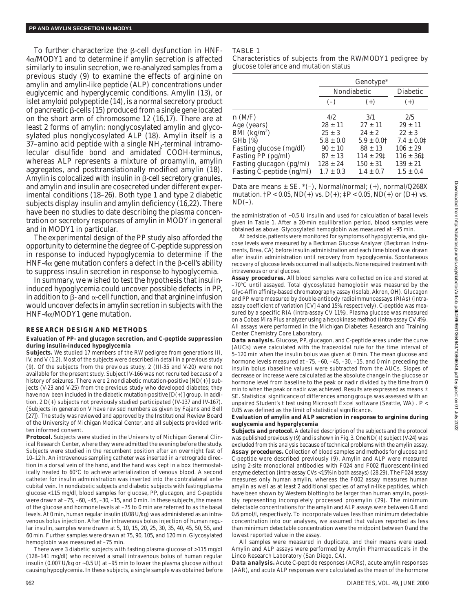To further characterize the  $\beta$ -cell dysfunction in HNF-4a/MODY1 and to determine if amylin secretion is affected similarly to insulin secretion, we re-analyzed samples from a previous study (9) to examine the effects of arginine on amylin and amylin-like peptide (ALP) concentrations under euglycemic and hyperglycemic conditions. Amylin (13), or islet amyloid polypeptide (14), is a normal secretory product of pancreatic  $\beta$ -cells (15) produced from a single gene located on the short arm of chromosome 12 (16,17). There are at least 2 forms of amylin: nonglycosylated amylin and glycosylated plus nonglycosylated ALP (18). Amylin itself is a  $37$ –amino acid peptide with a single NH<sub>2</sub>-terminal intramolecular disulfide bond and amidated COOH-terminus, whereas ALP represents a mixture of proamylin, amylin aggregates, and posttranslationally modified amylin (18). Amylin is colocalized with insulin in  $\beta$ -cell secretory granules, and amylin and insulin are cosecreted under different experimental conditions (18–26). Both type 1 and type 2 diabetic subjects display insulin and amylin deficiency (16,22). There have been no studies to date describing the plasma concentration or secretory responses of amylin in MODY in general and in MODY1 in particular.

The experimental design of the PP study also afforded the opportunity to determine the degree of C-peptide suppression in response to induced hypoglycemia to determine if the HNF-4 $\alpha$  gene mutation confers a defect in the  $\beta$ -cell's ability to suppress insulin secretion in response to hypoglycemia.

In summary, we wished to test the hypothesis that insulininduced hypoglycemia could uncover possible defects in PP, in addition to  $\beta$ - and  $\alpha$ -cell function, and that arginine infusion would uncover defects in amylin secretion in subjects with the HNF-4a/MODY1 gene mutation.

### **RESEARCH DESIGN AND METHODS**

#### **Evaluation of PP- and glucagon secretion, and C-peptide suppression during insulin-induced hypoglycemia**

*Subjects.* We studied 17 members of the RW pedigree from generations III, IV, and V (1,2). Most of the subjects were described in detail in a previous study (9). Of the subjects from the previous study, 2 (III-35 and V-20) were not available for the present study. Subject IV-166 was not recruited because of a history of seizures. There were 2 nondiabetic mutation-positive [ND(+)] subjects (V-23 and V-25) from the previous study who developed diabetes; they have now been included in the diabetic mutation-positive  $[D(+)]$  group. In addition, 2 D(+) subjects not previously studied participated (IV-137 and IV-167). (Subjects in generation V have revised numbers as given by Fajans and Bell [27]). The study was reviewed and approved by the Institutional Review Board of the University of Michigan Medical Center, and all subjects provided written informed consent.

*Protocol.* Subjects were studied in the University of Michigan General Clinical Research Center, where they were admitted the evening before the study. Subjects were studied in the recumbent position after an overnight fast of 10–12 h. An intravenous sampling catheter was inserted in a retrograde direction in a dorsal vein of the hand, and the hand was kept in a box thermostatically heated to 60°C to achieve arterialization of venous blood. A second catheter for insulin administration was inserted into the contralateral antecubital vein. In nondiabetic subjects and diabetic subjects with fasting plasma glucose <115 mg/dl, blood samples for glucose, PP, glucagon, and C-peptide were drawn at –75, –60, –45, –30, –15, and 0 min. In these subjects, the means of the glucose and hormone levels at –75 to 0 min are referred to as the basal levels. At 0 min, human regular insulin (0.08 U/kg) was administered as an intravenous bolus injection. After the intravenous bolus injection of human regular insulin, samples were drawn at 5, 10, 15, 20, 25, 30, 35, 40, 45, 50, 55, and 60 min. Further samples were drawn at 75, 90, 105, and 120 min. Glycosylated hemoglobin was measured at –75 min.

There were 3 diabetic subjects with fasting plasma glucose of >115 mg/dl (128–141 mg/dl) who received a small intravenous bolus of human regular insulin (0.007 U/kg or  $\sim$  0.5 U) at –95 min to lower the plasma glucose without causing hypoglycemia. In these subjects, a single sample was obtained before

# TABLE 1

Characteristics of subjects from the RW/MODY1 pedigree by glucose tolerance and mutation status

|                                           | Genotype*     |                            |                 |
|-------------------------------------------|---------------|----------------------------|-----------------|
|                                           | Nondiabetic   |                            | <b>Diabetic</b> |
|                                           | $(-)$         | $(+)$                      | $(+)$           |
| n(M/F)                                    | 4/2.          | 3/1                        | 2/5             |
| Age (years)                               | $28 \pm 11$   | $27 \pm 11$                | $29 \pm 11$     |
| $\tilde{\text{BMI}}$ (kg/m <sup>2</sup> ) | $25 \pm 3$    | $24 \pm 2$                 | $22 \pm 3$      |
| $GHb$ $(\%)$                              | $5.8 \pm 0.0$ | $5.9 \pm 0.0$ <sup>†</sup> | $7.4 \pm 0.01$  |
| Fasting glucose (mg/dl)                   | $90 \pm 10$   | $88 \pm 13$                | $106 \pm 29$    |
| Fasting PP (pg/ml)                        | $87 \pm 13$   | $114 \pm 291$              | $116 \pm 361$   |
| Fasting glucagon (pg/ml)                  | $128 + 24$    | $150 \pm 31$               | $139 \pm 21$    |
| Fasting C-peptide (ng/ml)                 | $1.7 \pm 0.3$ | $1.4 \pm 0.7$              | $1.5 \pm 0.4$   |

Data are means  $\pm$  SE.  $^{*}(-)$ , Normal/normal; (+), normal/Q268X mutation.  $\dagger P < 0.05$ , ND(+) vs. D(+);  $\dagger P < 0.05$ , ND(+) or (D+) vs.  $ND(-)$ .

the administration of ~0.5 U insulin and used for calculation of basal levels given in Table 1. After a 20-min equilibration period, blood samples were obtained as above. Glycosylated hemoglobin was measured at –95 min.

At bedside, patients were monitored for symptoms of hypoglycemia, and glucose levels were measured by a Beckman Glucose Analyzer (Beckman Instruments, Brea, CA) before insulin administration and each time blood was drawn after insulin administration until recovery from hypoglycemia. Spontaneous recovery of glucose levels occurred in all subjects. None required treatment with intravenous or oral glucose.

*Assay procedures.* All blood samples were collected on ice and stored at –70°C until assayed. Total glycosylated hemoglobin was measured by the Glyc-Affin affinity-based chromatography assay (Isolab, Akron, OH). Glucagon and PP were measured by double-antibody radioimmunoassays (RIAs) (intraassay coefficient of variation [CV] 4 and 15%, respectively). C-peptide was measured by a specific RIA (intra-assay CV 11%). Plasma glucose was measured on a Cobas Mira Plus analyzer using a hexokinase method (intra-assay CV 4%). All assays were performed in the Michigan Diabetes Research and Training Center Chemistry Core Laboratory.

*Data analysis.* Glucose, PP, glucagon, and C-peptide areas under the curve (AUCs) were calculated with the trapezoidal rule for the time interval of 5–120 min when the insulin bolus was given at 0 min. The mean glucose and hormone levels measured at  $-75$ ,  $-60$ ,  $-45$ ,  $-30$ ,  $-15$ , and 0 min preceding the insulin bolus (baseline values) were subtracted from the AUCs. Slopes of decrease or increase were calculated as the absolute change in the glucose or hormone level from baseline to the peak or nadir divided by the time from 0 min to when the peak or nadir was achieved. Results are expressed as means  $\pm$ SE. Statistical significance of differences among groups was assessed with an unpaired Student's *t* test using Microsoft Excel software (Seattle, WA) . *P* < 0.05 was defined as the limit of statistical significance.

#### **Evaluation of amylin and ALP secretion in response to arginine during euglycemia and hyperglycemia**

*Subjects and protocol.* A detailed description of the subjects and the protocol was published previously (9) and is shown in Fig. 3. One ND(+) subject (V-24) was excluded from this analysis because of technical problems with the amylin assay. *Assay procedures.* Collection of blood samples and methods for glucose and C-peptide were described previously (9). Amylin and ALP were measured using 2-site monoclonal antibodies with F024 and F002 fluorescent-linked enzyme detection (intra-assay CVs <15% in both assays) (28,29). The F024 assay measures only human amylin, whereas the F002 assay measures human amylin as well as at least 2 additional species of amylin-like peptides, which have been shown by Western blotting to be larger than human amylin, possibly representing incompletely processed proamylin (29). The minimum detectable concentrations for the amylin and ALP assays were between 0.8 and 0.6 pmol/l, respectively. To incorporate values less than minimum detectable concentration into our analyses, we assumed that values reported as less than minimum detectable concentration were the midpoint between 0 and the lowest reported value in the assay.

All samples were measured in duplicate, and their means were used. Amylin and ALP assays were performed by Amylin Pharmaceuticals in the Linco Research Laboratory (San Diego, CA).

*Data analysis.* Acute C-peptide responses (ACRs), acute amylin responses (AAR), and acute ALP responses were calculated as the mean of the hormone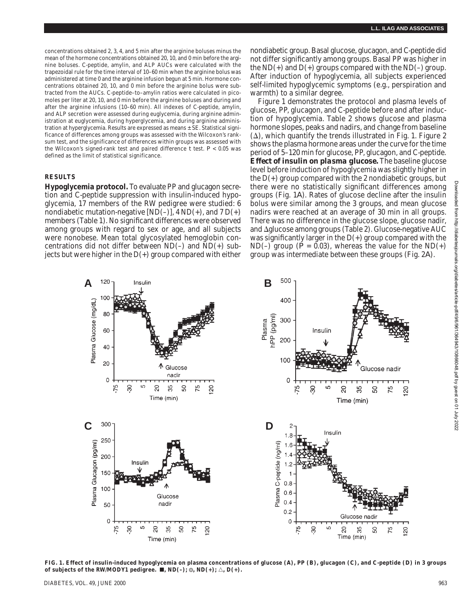concentrations obtained 2, 3, 4, and 5 min after the arginine boluses minus the mean of the hormone concentrations obtained 20, 10, and 0 min before the arginine boluses. C-peptide, amylin, and ALP AUCs were calculated with the trapezoidal rule for the time interval of 10–60 min when the arginine bolus was administered at time 0 and the arginine infusion begun at 5 min. Hormone concentrations obtained 20, 10, and 0 min before the arginine bolus were subtracted from the AUCs. C-peptide–to–amylin ratios were calculated in picomoles per liter at 20, 10, and 0 min before the arginine boluses and during and after the arginine infusions (10–60 min). All indexes of C-peptide, amylin, and ALP secretion were assessed during euglycemia, during arginine administration at euglycemia, during hyperglycemia, and during arginine administration at hyperglycemia. Results are expressed as means ± SE. Statistical significance of differences among groups was assessed with the Wilcoxon's ranksum test, and the significance of differences within groups was assessed with the Wilcoxon's signed-rank test and paired difference  $t$  test.  $P < 0.05$  was defined as the limit of statistical significance.

### **RESULTS**

**Hypoglycemia protocol.** To evaluate PP and glucagon secretion and C-peptide suppression with insulin-induced hypoglycemia, 17 members of the RW pedigree were studied: 6 nondiabetic mutation-negative [ND(–)],  $4 \text{ ND}(+)$ , and  $7 \text{ D}(+)$ members (Table 1). No significant differences were observed among groups with regard to sex or age, and all subjects were nonobese. Mean total glycosylated hemoglobin concentrations did not differ between  $ND(-)$  and  $ND(+)$  subjects but were higher in the  $D(+)$  group compared with either

nondiabetic group. Basal glucose, glucagon, and C-peptide did not differ significantly among groups. Basal PP was higher in the  $ND(+)$  and  $D(+)$  groups compared with the  $ND(-)$  group. After induction of hypoglycemia, all subjects experienced self-limited hypoglycemic symptoms (e.g., perspiration and warmth) to a similar degree.

Figure 1 demonstrates the protocol and plasma levels of glucose, PP, glucagon, and C-peptide before and after induction of hypoglycemia. Table 2 shows glucose and plasma hormone slopes, peaks and nadirs, and change from baseline  $(\Delta)$ , which quantify the trends illustrated in Fig. 1. Figure 2 shows the plasma hormone areas under the curve for the time period of 5–120 min for glucose, PP, glucagon, and C-peptide. *Effect of insulin on plasma glucose.* The baseline glucose level before induction of hypoglycemia was slightly higher in the  $D(+)$  group compared with the 2 nondiabetic groups, but there were no statistically significant differences among groups (Fig. 1*A*). Rates of glucose decline after the insulin bolus were similar among the 3 groups, and mean glucose nadirs were reached at an average of 30 min in all groups. There was no difference in the glucose slope, glucose nadir, and  $\Delta$ glucose among groups (Table 2). Glucose-negative AUC was significantly larger in the  $D(+)$  group compared with the ND(-) group ( $P = 0.03$ ), whereas the value for the ND(+) group was intermediate between these groups (Fig. 2*A*).



**FIG. 1. Effect of insulin-induced hypoglycemia on plasma concentrations of glucose (***A***), PP (***B***), glucagon (***C***), and C-peptide (***D***) in 3 groups** of subjects of the RW/MODY1 pedigree.  $\blacksquare$ , ND(-);  $\oslash$ , ND(+);  $\triangle$ , D(+).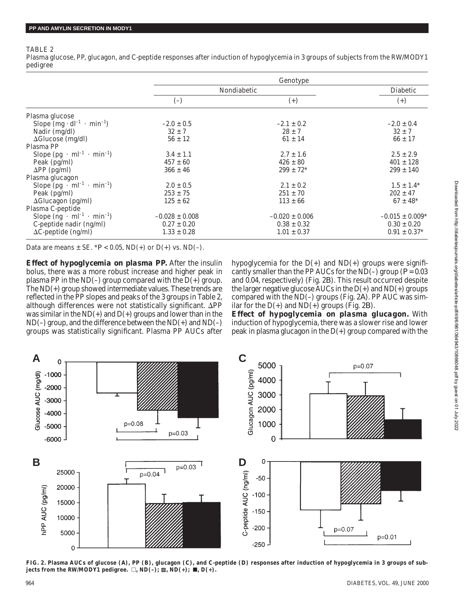## TABLE 2

Plasma glucose, PP, glucagon, and C-peptide responses after induction of hypoglycemia in 3 groups of subjects from the RW/MODY1 pedigree

|                                           | Genotype           |                           |                     |  |
|-------------------------------------------|--------------------|---------------------------|---------------------|--|
|                                           | Nondiabetic        |                           | Diabetic            |  |
|                                           | $(-)$              | $(+)$                     | $^{(+)}$            |  |
| Plasma glucose                            |                    |                           |                     |  |
| Slope $(mg \cdot dl^{-1} \cdot min^{-1})$ | $-2.0 \pm 0.5$     | $-2.1 \pm 0.2$            | $-2.0 \pm 0.4$      |  |
| Nadir $(mg/dl)$                           | $32 \pm 7$         | $28 \pm 7$                | $32 \pm 7$          |  |
| $\Delta$ Glucose (mg/dl)                  | $56 \pm 12$        | $61 \pm 14$               | $66 \pm 17$         |  |
| Plasma PP                                 |                    |                           |                     |  |
| Slope $(pg \cdot ml^{-1} \cdot min^{-1})$ | $3.4 \pm 1.1$      | $2.7 \pm 1.6$             | $2.5 \pm 2.9$       |  |
| Peak (pg/ml)                              | $457 \pm 60$       | $426 \pm 80$              | $401 \pm 128$       |  |
| $\Delta PP$ (pg/ml)                       | $366 \pm 46$       | $299 \pm 72$ <sup>*</sup> | $299 \pm 140$       |  |
| Plasma glucagon                           |                    |                           |                     |  |
| Slope $(pg \cdot ml^{-1} \cdot min^{-1})$ | $2.0 \pm 0.5$      | $2.1 \pm 0.2$             | $1.5 \pm 1.4^*$     |  |
| Peak $(pg/ml)$                            | $253 \pm 75$       | $251 \pm 70$              | $202 \pm 47$        |  |
| $\Delta$ Glucagon (pg/ml)                 | $125 \pm 62$       | $113 \pm 66$              | $67 \pm 48$ *       |  |
| Plasma C-peptide                          |                    |                           |                     |  |
| Slope $(ng \cdot ml^{-1} \cdot min^{-1})$ | $-0.028 \pm 0.008$ | $-0.020 \pm 0.006$        | $-0.015 \pm 0.009*$ |  |
| C-peptide nadir (ng/ml)                   | $0.27 \pm 0.20$    | $0.38 \pm 0.32$           | $0.30 \pm 0.20$     |  |
| $\Delta C$ -peptide (ng/ml)               | $1.33 \pm 0.28$    | $1.01 \pm 0.37$           | $0.91 \pm 0.37*$    |  |

Data are means  $\pm$  SE.  $*P$  < 0.05, ND(+) or D(+) vs. ND(-).

*Effect of hypoglycemia on plasma PP.* After the insulin bolus, there was a more robust increase and higher peak in plasma PP in the ND(-) group compared with the  $D(+)$  group. The ND(+) group showed intermediate values. These trends are reflected in the PP slopes and peaks of the 3 groups in Table 2, although differences were not statistically significant.  $\Delta PP$ was similar in the  $ND(+)$  and  $D(+)$  groups and lower than in the ND(–) group, and the difference between the ND(+) and ND(–) groups was statistically significant. Plasma PP AUCs after hypoglycemia for the  $D(+)$  and  $ND(+)$  groups were significantly smaller than the PP AUCs for the ND(–) group ( $P = 0.03$ ) and 0.04, respectively) (Fig. 2*B*). This result occurred despite the larger negative glucose  $\overline{\text{AUCs}}$  in the  $\text{D}(+)$  and  $\text{ND}(+)$  groups compared with the ND(–) groups (Fig. 2*A*). PP AUC was similar for the  $D(+)$  and  $ND(+)$  groups (Fig. 2*B*).

*Effect of hypoglycemia on plasma glucagon.* With induction of hypoglycemia, there was a slower rise and lower peak in plasma glucagon in the  $D(+)$  group compared with the



**FIG. 2. Plasma AUCs of glucose (***A***), PP (***B***), glucagon (***C***), and C-peptide (***D***) responses after induction of hypoglycemia in 3 groups of sub**jects from the RW/MODY1 pedigree.  $\Box$ , ND(-);  $\mathbb{Z}$ , ND(+); **I**, D(+).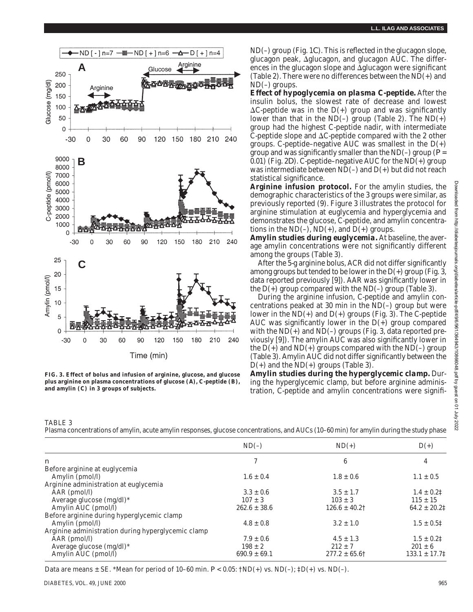

**FIG. 3. Effect of bolus and infusion of arginine, glucose, and glucose plus arginine on plasma concentrations of glucose (***A***), C-peptide (***B***), and amylin (***C***) in 3 groups of subjects.**

ND(–) group (Fig. 1*C*). This is reflected in the glucagon slope, glucagon peak, Δglucagon, and glucagon AUC. The differences in the glucagon slope and  $\Delta$ glucagon were significant (Table 2). There were no differences between the ND(+) and ND(–) groups.

*Effect of hypoglycemia on plasma C-peptide.* After the insulin bolus, the slowest rate of decrease and lowest  $\Delta C$ -peptide was in the D(+) group and was significantly lower than that in the  $ND(-)$  group (Table 2). The  $ND(+)$ group had the highest C-peptide nadir, with intermediate C-peptide slope and  $\Delta C$ -peptide compared with the 2 other groups. C-peptide–negative AUC was smallest in the  $D(+)$ group and was significantly smaller than the  $ND(-)$  group ( $P=$ 0.01) (Fig. 2*D*). C-peptide–negative AUC for the ND(+) group was intermediate between ND(–) and D(+) but did not reach statistical significance.

**Arginine infusion protocol.** For the amylin studies, the demographic characteristics of the 3 groups were similar, as previously reported (9). Figure 3 illustrates the protocol for arginine stimulation at euglycemia and hyperglycemia and demonstrates the glucose, C-peptide, and amylin concentrations in the  $ND(-)$ ,  $ND(+)$ , and  $D(+)$  groups.

*Amylin studies during euglycemia.* At baseline, the average amylin concentrations were not significantly different among the groups (Table 3).

After the 5-g arginine bolus, ACR did not differ significantly among groups but tended to be lower in the  $D(+)$  group (Fig. 3, data reported previously [9]). AAR was significantly lower in the  $D(+)$  group compared with the ND(–) group (Table 3).

During the arginine infusion, C-peptide and amylin concentrations peaked at 30 min in the ND(–) group but were lower in the  $ND(+)$  and  $D(+)$  groups (Fig. 3). The C-peptide AUC was significantly lower in the  $D(+)$  group compared with the  $ND(+)$  and  $ND(-)$  groups (Fig. 3, data reported previously [9]). The amylin AUC was also significantly lower in the  $D(+)$  and  $ND(+)$  groups compared with the  $ND(-)$  group (Table 3). Amylin AUC did not differ significantly between the  $D(+)$  and the ND(+) groups (Table 3).

*Amylin studies during the hyperglycemic clamp.* During the hyperglycemic clamp, but before arginine administration, C-peptide and amylin concentrations were signifi-

TABLE 3

Plasma concentrations of amylin, acute amylin responses, glucose concentrations, and AUCs (10–60 min) for amylin during the study phase

|                                                    | $ND(-)$          | $ND(+)$                       | $D(+)$            |
|----------------------------------------------------|------------------|-------------------------------|-------------------|
| $\boldsymbol{n}$                                   |                  | 6                             | 4                 |
| Before arginine at euglycemia                      |                  |                               |                   |
| Amylin (pmol/l)                                    | $1.6 \pm 0.4$    | $1.8 \pm 0.6$                 | $1.1 \pm 0.5$     |
| Arginine administration at euglycemia              |                  |                               |                   |
| $AAR$ (pmol/l)                                     | $3.3 \pm 0.6$    | $3.5 \pm 1.7$                 | $1.4 \pm 0.21$    |
| Average glucose $(mg/dl)^*$                        | $107 \pm 3$      | $103 \pm 3$                   | $115 \pm 15$      |
| Amylin AUC (pmol/l)                                | $262.6 \pm 38.6$ | $126.6 \pm 40.2$ <sup>†</sup> | $64.2 \pm 20.21$  |
| Before arginine during hyperglycemic clamp         |                  |                               |                   |
| Amylin (pmol/l)                                    | $4.8 \pm 0.8$    | $3.2 \pm 1.0$                 | $1.5 \pm 0.51$    |
| Arginine administration during hyperglycemic clamp |                  |                               |                   |
| $AAR$ (pmol/l)                                     | $7.9 \pm 0.6$    | $4.5 \pm 1.3$                 | $1.5 \pm 0.21$    |
| Average glucose $(mg/dl)^*$                        | $198 \pm 2$      | $212 \pm 7$                   | $201 \pm 6$       |
| Amylin AUC (pmol/l)                                | $690.9 \pm 69.1$ | $277.2 \pm 65.6$ †            | $133.1 \pm 17.71$ |

Data are means  $\pm$  SE. \*Mean for period of 10–60 min.  $P < 0.05$ :  $\uparrow$ ND(+) vs. ND(-);  $\uparrow$ D(+) vs. ND(-).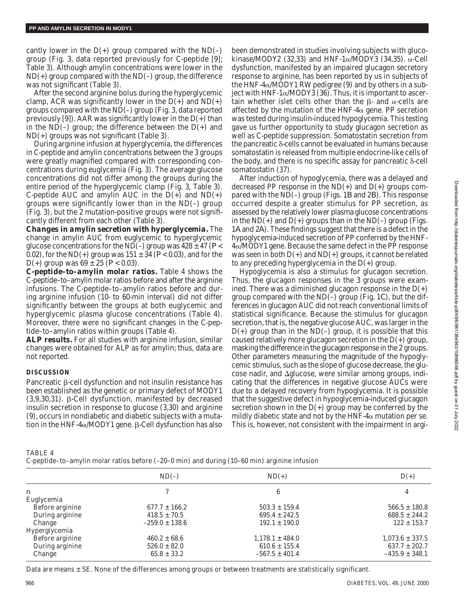cantly lower in the  $D(+)$  group compared with the ND $(-)$ group (Fig. 3, data reported previously for C-peptide [9]; Table 3). Although amylin concentrations were lower in the ND(+) group compared with the ND(–) group, the difference was not significant (Table 3).

After the second arginine bolus during the hyperglycemic clamp, ACR was significantly lower in the  $D(+)$  and  $ND(+)$ groups compared with the ND(–) group (Fig. 3, data reported previously [9]). AAR was significantly lower in the  $D(+)$  than in the ND(–) group; the difference between the  $D(+)$  and ND(+) groups was not significant (Table 3).

During arginine infusion at hyperglycemia, the differences in C-peptide and amylin concentrations between the 3 groups were greatly magnified compared with corresponding concentrations during euglycemia (Fig. 3). The average glucose concentrations did not differ among the groups during the entire period of the hyperglycemic clamp (Fig. 3, Table 3). C-peptide AUC and amylin AUC in the  $D(+)$  and  $ND(+)$ groups were significantly lower than in the ND(–) group (Fig. 3), but the 2 mutation-positive groups were not significantly different from each other (Table 3).

*Changes in amylin secretion with hyperglycemia.* The change in amylin AUC from euglycemic to hyperglycemic glucose concentrations for the ND(–) group was  $428 \pm 47$  ( $P$  < 0.02), for the ND(+) group was  $151 \pm 34$  ( $P < 0.03$ ), and for the D(+) group was  $69 \pm 25$  ( $P < 0.03$ ).

*C-peptide–to–amylin molar ratios.* Table 4 shows the C-peptide–to–amylin molar ratios before and after the arginine infusions. The C-peptide–to–amylin ratios before and during arginine infusion (10- to 60-min interval) did not differ significantly between the groups at both euglycemic and hyperglycemic plasma glucose concentrations (Table 4). Moreover, there were no significant changes in the C-peptide–to–amylin ratios within groups (Table 4).

*ALP results.* For all studies with arginine infusion, similar changes were obtained for ALP as for amylin; thus, data are not reported.

# **DISCUSSION**

Pancreatic  $\beta$ -cell dysfunction and not insulin resistance has been established as the genetic or primary defect of MODY1  $(3,9,30,31)$ .  $\beta$ -Cell dysfunction, manifested by decreased insulin secretion in response to glucose (3,30) and arginine (9), occurs in nondiabetic and diabetic subjects with a mutation in the HNF-4 $\alpha$ /MODY1 gene.  $\beta$ -Cell dysfunction has also

been demonstrated in studies involving subjects with glucokinase/MODY2 (32,33) and HNF-1 $\alpha$ /MODY3 (34,35).  $\alpha$ -Cell dysfunction, manifested by an impaired glucagon secretory response to arginine, has been reported by us in subjects of the HNF-4 $\alpha$ /MODY1 RW pedigree (9) and by others in a subject with HNF-1 $\alpha$ /MODY3 (36). Thus, it is important to ascertain whether islet cells other than the  $\beta$ - and  $\alpha$ -cells are affected by the mutation of the HNF- $4\alpha$  gene. PP secretion was tested during insulin-induced hypoglycemia. This testing gave us further opportunity to study glucagon secretion as well as C-peptide suppression. Somatostatin secretion from the pancreatic  $\delta$ -cells cannot be evaluated in humans because somatostatin is released from multiple endocrine-like cells of the body, and there is no specific assay for pancreatic  $\delta$ -cell somatostatin (37).

After induction of hypoglycemia, there was a delayed and decreased PP response in the  $ND(+)$  and  $D(+)$  groups compared with the ND(–) group (Figs. 1*B* and 2*B*). This response occurred despite a greater stimulus for PP secretion, as assessed by the relatively lower plasma glucose concentrations in the  $ND(+)$  and  $D(+)$  groups than in the  $ND(-)$  group (Figs. 1*A* and 2*A*). These findings suggest that there is a defect in the hypoglycemia-induced secretion of PP conferred by the HNF-4a/MODY1 gene. Because the same defect in the PP response was seen in both  $D(+)$  and  $ND(+)$  groups, it cannot be related to any preceding hyperglycemia in the D(+) group.

Hypoglycemia is also a stimulus for glucagon secretion. Thus, the glucagon responses in the 3 groups were examined. There was a diminished glucagon response in the  $D(+)$ group compared with the ND(–) group (Fig. 1*C*), but the differences in glucagon AUC did not reach conventional limits of statistical significance. Because the stimulus for glucagon secretion, that is, the negative glucose AUC, was larger in the  $D(+)$  group than in the ND(-) group, it is possible that this caused relatively more glucagon secretion in the  $D(+)$  group, masking the difference in the glucagon response in the 2 groups. Other parameters measuring the magnitude of the hypoglycemic stimulus, such as the slope of glucose decrease, the glu- $\cos$ e nadir, and  $\Delta$ glucose, were similar among groups, indicating that the differences in negative glucose AUCs were due to a delayed recovery from hypoglycemia. It is possible that the suggestive defect in hypoglycemia-induced glucagon secretion shown in the  $D(+)$  group may be conferred by the mildly diabetic state and not by the HNF- $4\alpha$  mutation per se. This is, however, not consistent with the impairment in argi-

TABLE 4

C-peptide–to–amylin molar ratios before (–20–0 min) and during (10–60 min) arginine infusion

|                 | $ND(-)$            | $ND(+)$             | $D(+)$              |
|-----------------|--------------------|---------------------|---------------------|
| n               |                    | 6                   | 4                   |
| Euglycemia      |                    |                     |                     |
| Before arginine | $677.7 \pm 166.2$  | $503.3 \pm 159.4$   | $566.5 \pm 180.8$   |
| During arginine | $418.5 \pm 70.5$   | $695.4 \pm 242.5$   | $688.5 \pm 244.2$   |
| Change          | $-259.0 \pm 138.6$ | $192.1 \pm 190.0$   | $122 \pm 153.7$     |
| Hyperglycemia   |                    |                     |                     |
| Before arginine | $460.2 \pm 68.6$   | $1,178.1 \pm 484.0$ | $1,073.6 \pm 337.5$ |
| During arginine | $526.0 \pm 82.0$   | $610.6 \pm 155.4$   | $637.7 \pm 202.7$   |
| Change          | $65.8 \pm 33.2$    | $-567.5 \pm 401.4$  | $-435.9 \pm 348.1$  |
|                 |                    |                     |                     |

Data are means ± SE. None of the differences among groups or between treatments are statistically significant.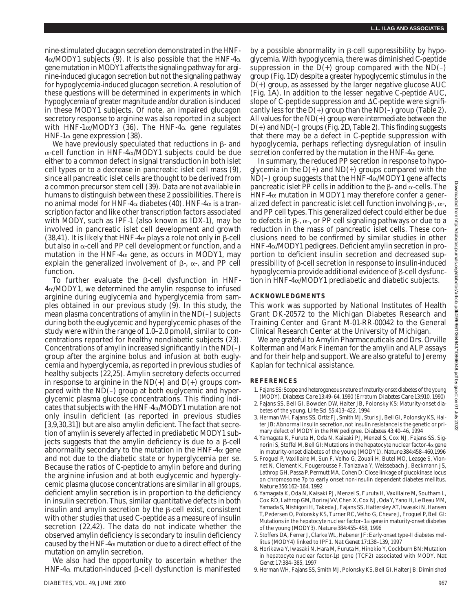nine-stimulated glucagon secretion demonstrated in the HNF- $4\alpha$ /MODY1 subjects (9). It is also possible that the HNF- $4\alpha$ gene mutation in MODY1 affects the signaling pathway for arginine-induced glucagon secretion but not the signaling pathway for hypoglycemia-induced glucagon secretion. A resolution of these questions will be determined in experiments in which hypoglycemia of greater magnitude and/or duration is induced in these MODY1 subjects. Of note, an impaired glucagon secretory response to arginine was also reported in a subject with HNF-1 $\alpha$ /MODY3 (36). The HNF-4 $\alpha$  gene regulates HNF-1 $\alpha$  gene expression (38).

We have previously speculated that reductions in  $\beta$ - and  $\alpha$ -cell function in HNF-4 $\alpha$ /MODY1 subjects could be due either to a common defect in signal transduction in both islet cell types or to a decrease in pancreatic islet cell mass (9), since all pancreatic islet cells are thought to be derived from a common precursor stem cell (39). Data are not available in humans to distinguish between these 2 possibilities. There is no animal model for HNF-4 $\alpha$  diabetes (40). HNF-4 $\alpha$  is a transcription factor and like other transcription factors associated with MODY, such as IPF-1 (also known as IDX-1), may be involved in pancreatic islet cell development and growth (38,41). It is likely that HNF-4 $\alpha$  plays a role not only in  $\beta$ -cell but also in  $\alpha$ -cell and PP cell development or function, and a mutation in the HNF-4 $\alpha$  gene, as occurs in MODY1, may explain the generalized involvement of  $\beta$ -,  $\alpha$ -, and PP cell function.

To further evaluate the  $\beta$ -cell dysfunction in HNF- $4\alpha$ /MODY1, we determined the amylin response to infused arginine during euglycemia and hyperglycemia from samples obtained in our previous study (9). In this study, the mean plasma concentrations of amylin in the ND(–) subjects during both the euglycemic and hyperglycemic phases of the study were within the range of 1.0–2.0 pmol/l, similar to concentrations reported for healthy nondiabetic subjects (23). Concentrations of amylin increased significantly in the  $ND(-)$ group after the arginine bolus and infusion at both euglycemia and hyperglycemia, as reported in previous studies of healthy subjects (22,25). Amylin secretory defects occurred in response to arginine in the  $ND(+)$  and  $D(+)$  groups compared with the ND(–) group at both euglycemic and hyperglycemic plasma glucose concentrations. This finding indicates that subjects with the HNF- $4\alpha$ /MODY1 mutation are not only insulin deficient (as reported in previous studies [3,9,30,31]) but are also amylin deficient. The fact that secretion of amylin is severely affected in prediabetic MODY1 subjects suggests that the amylin deficiency is due to a  $\beta$ -cell abnormality secondary to the mutation in the HNF-4 $\alpha$  gene and not due to the diabetic state or hyperglycemia per se. Because the ratios of C-peptide to amylin before and during the arginine infusion and at both euglycemic and hyperglycemic plasma glucose concentrations are similar in all groups, deficient amylin secretion is in proportion to the deficiency in insulin secretion. Thus, similar quantitative defects in both insulin and amylin secretion by the  $\beta$ -cell exist, consistent with other studies that used C-peptide as a measure of insulin secretion (22,42). The data do not indicate whether the observed amylin deficiency is secondary to insulin deficiency caused by the HNF-4 $\alpha$  mutation or due to a direct effect of the mutation on amylin secretion.

We also had the opportunity to ascertain whether the HNF-4 $\alpha$  mutation-induced  $\beta$ -cell dysfunction is manifested

by a possible abnormality in  $\beta$ -cell suppressibility by hypoglycemia. With hypoglycemia, there was diminished C-peptide suppression in the  $D(+)$  group compared with the ND(-) group (Fig. 1*D*) despite a greater hypoglycemic stimulus in the D(+) group, as assessed by the larger negative glucose AUC (Fig. 1*A*). In addition to the lesser negative C-peptide AUC, slope of C-peptide suppression and  $\Delta C$ -peptide were significantly less for the  $D(+)$  group than the ND $(-)$  group (Table 2). All values for the ND(+) group were intermediate between the D(+) and ND(–) groups (Fig. 2*D*, Table 2). This finding suggests that there may be a defect in C-peptide suppression with hypoglycemia, perhaps reflecting dysregulation of insulin secretion conferred by the mutation in the HNF- $4\alpha$  gene.

In summary, the reduced PP secretion in response to hypoglycemia in the  $D(+)$  and  $ND(+)$  groups compared with the  $ND(-)$  group suggests that the HNF-4 $\alpha$ /MODY1 gene affects pancreatic islet PP cells in addition to the  $\beta$ - and  $\alpha$ -cells. The  $HNF-4\alpha$  mutation in MODY1 may therefore confer a generalized defect in pancreatic islet cell function involving  $\beta$ -,  $\alpha$ -, and PP cell types. This generalized defect could either be due to defects in  $\beta$ -,  $\alpha$ -, or PP cell signaling pathways or due to a reduction in the mass of pancreatic islet cells. These conclusions need to be confirmed by similar studies in other  $HNF-4\alpha/MODY1$  pedigrees. Deficient amylin secretion in proportion to deficient insulin secretion and decreased suppressibility of  $\beta$ -cell secretion in response to insulin-induced hypoglycemia provide additional evidence of  $\beta$ -cell dysfunction in HNF-4a/MODY1 prediabetic and diabetic subjects.

### **ACKNOWLEDGMENTS**

This work was supported by National Institutes of Health Grant DK-20572 to the Michigan Diabetes Research and Training Center and Grant M-01-RR-00042 to the General Clinical Research Center at the University of Michigan.

We are grateful to Amylin Pharmaceuticals and Drs. Orville Kolterman and Mark Fineman for the amylin and ALP assays and for their help and support. We are also grateful to Jeremy Kaplan for technical assistance.

### **REFERENCES**

- 1. Fajans SS: Scope and heterogeneous nature of maturity-onset diabetes of the young (MODY). *Diabetes Care* 13:49–64, 1990 (Erratum *Diabetes Care* 13:910, 1990)
- 2. Fajans SS, Bell GI, Bowden DW, Halter JB, Polonsky KS: Maturity-onset diabetes of the young. *Life Sci* 55:413–422, 1994
- 3. Herman WH, Fajans SS, Ortiz FJ, Smith MJ, Sturis J, Bell GI, Polonsky KS, Halter JB: Abnormal insulin secretion, not insulin resistance is the genetic or primary defect of MODY in the RW pedigree. *Diabetes* 43:40–46, 1994
- 4. Yamagata K, Furuta H, Oda N, Kaisaki PJ, Menzel S, Cox NJ, Fajans SS, Signorini S, Stoffel M, Bell GI: Mutations in the hepatocyte nuclear factor-4a gene in maturity-onset diabetes of the young (MODY1). *Nature* 384:458–460,1996
- 5. Froguel P, Vaxillaire M, Sun F, Velho G, Zouali H, Butel MO, Leasge S, Vionnet N, Clement K, Fougerousse F, Tanizawa Y, Weissebach J, Beckmann JS, Lathrop GH, Passa P, Permutt MA, Cohen D: Close linkage of glucokinase locus on chromosome 7p to early onset non-insulin dependent diabetes mellitus*. Nature* 356:162–164, 1992
- 6. Yamagata K, Oda N, Kaisaki PJ, Menzel S, Furuta H, Vaxillaire M, Southam L, Cox RD, Lathrop GM, Boriraj VV, Chen X, Cox NJ, Oda Y, Yano H, Le Beau MM, Yamada S, Nishigori H, Takeda J, Fajans SS, Hattersley AT, Iwasaki N, Hansen T, Pedersen O, Polonsky KS, Turner RC, Velho G, Chevre J, Froguel P, Bell GI: Mutations in the hepatocyte nuclear factor- $1\alpha$  gene in maturity-onset diabetes of the young (MODY3). *Nature* 384:455–458, 1996
- 7. Stoffers DA, Ferrer J, Clarke WL, Habener JF: Early-onset type-II diabetes mellitus (MODY4) linked to IPF1. *Nat Genet* 17:138–139, 1997
- 8. Horikawa Y, Iwasaki N, Hara M, Furuta H, Hinokio Y, Cockburn BN: Mutation in hepatocyte nuclear factor-1b gene (TCF2) associated with MODY. *Nat Genet* 17:384–385, 1997
- 9. Herman WH, Fajans SS, Smith MJ, Polonsky KS, Bell GI, Halter JB: Diminished